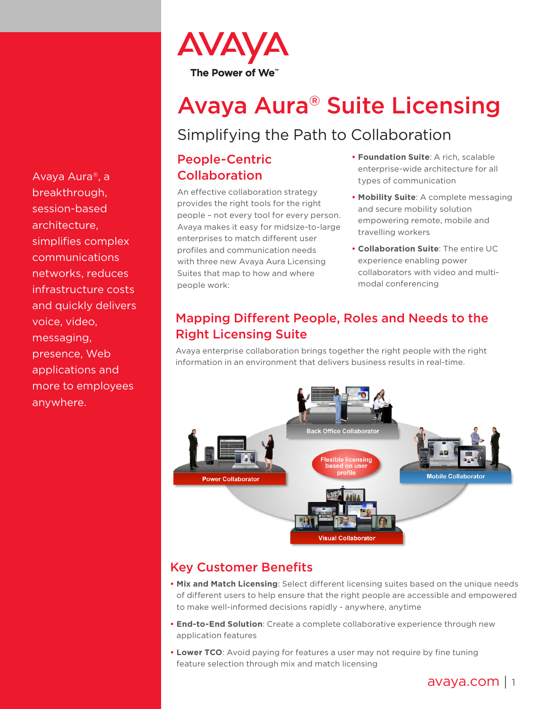

# Avaya Aura® Suite Licensing

## Simplifying the Path to Collaboration

## People-Centric Collaboration

An effective collaboration strategy provides the right tools for the right people – not every tool for every person. Avaya makes it easy for midsize-to-large enterprises to match different user profiles and communication needs with three new Avaya Aura Licensing Suites that map to how and where people work:

- **• Foundation Suite**: A rich, scalable enterprise-wide architecture for all types of communication
- **• Mobility Suite**: A complete messaging and secure mobility solution empowering remote, mobile and travelling workers
- **• Collaboration Suite**: The entire UC experience enabling power collaborators with video and multimodal conferencing

## Mapping Different People, Roles and Needs to the Right Licensing Suite

Avaya enterprise collaboration brings together the right people with the right information in an environment that delivers business results in real-time.



## Key Customer Benefits

- **• Mix and Match Licensing**: Select different licensing suites based on the unique needs of different users to help ensure that the right people are accessible and empowered to make well-informed decisions rapidly - anywhere, anytime
- **• End-to-End Solution**: Create a complete collaborative experience through new application features
- **• Lower TCO**: Avoid paying for features a user may not require by fine tuning feature selection through mix and match licensing

Avaya Aura®, a breakthrough, session-based architecture, simplifies complex communications networks, reduces infrastructure costs and quickly delivers voice, video, messaging, presence, Web applications and more to employees anywhere.